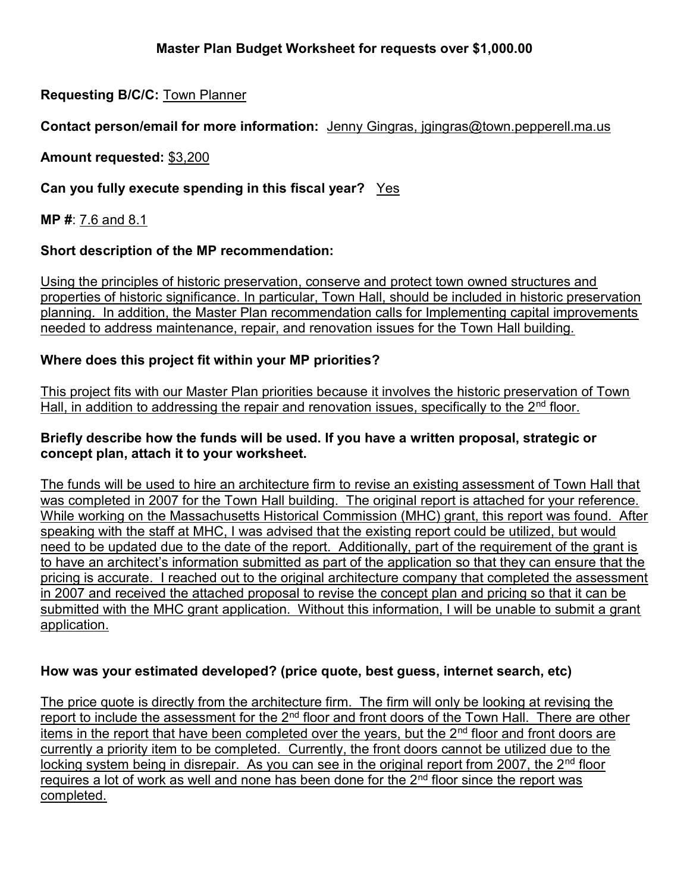# Master Plan Budget Worksheet for requests over \$1,000.00

# Requesting B/C/C: Town Planner

#### Contact person/email for more information: Jenny Gingras, jgingras@town.pepperell.ma.us

Amount requested: \$3,200

## Can you fully execute spending in this fiscal year? Yes

MP #: 7.6 and 8.1

#### Short description of the MP recommendation:

Using the principles of historic preservation, conserve and protect town owned structures and properties of historic significance. In particular, Town Hall, should be included in historic preservation planning. In addition, the Master Plan recommendation calls for Implementing capital improvements needed to address maintenance, repair, and renovation issues for the Town Hall building.

## Where does this project fit within your MP priorities?

This project fits with our Master Plan priorities because it involves the historic preservation of Town Hall, in addition to addressing the repair and renovation issues, specifically to the 2<sup>nd</sup> floor.

#### Briefly describe how the funds will be used. If you have a written proposal, strategic or concept plan, attach it to your worksheet.

The funds will be used to hire an architecture firm to revise an existing assessment of Town Hall that was completed in 2007 for the Town Hall building. The original report is attached for your reference. While working on the Massachusetts Historical Commission (MHC) grant, this report was found. After speaking with the staff at MHC, I was advised that the existing report could be utilized, but would need to be updated due to the date of the report. Additionally, part of the requirement of the grant is to have an architect's information submitted as part of the application so that they can ensure that the pricing is accurate. I reached out to the original architecture company that completed the assessment in 2007 and received the attached proposal to revise the concept plan and pricing so that it can be submitted with the MHC grant application. Without this information, I will be unable to submit a grant application.

#### How was your estimated developed? (price quote, best guess, internet search, etc)

The price quote is directly from the architecture firm. The firm will only be looking at revising the report to include the assessment for the 2<sup>nd</sup> floor and front doors of the Town Hall. There are other items in the report that have been completed over the vears, but the  $2<sup>nd</sup>$  floor and front doors are currently a priority item to be completed. Currently, the front doors cannot be utilized due to the locking system being in disrepair. As you can see in the original report from 2007, the  $2<sup>nd</sup>$  floor requires a lot of work as well and none has been done for the  $2<sup>nd</sup>$  floor since the report was completed.